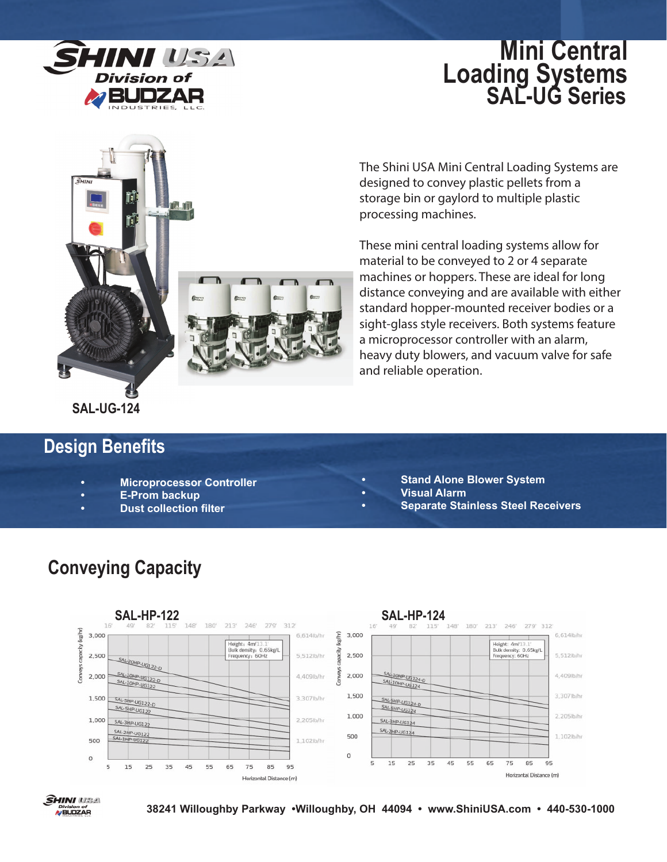

# **Mini Central Loading Systems SAL-UG Series**



The Shini USA Mini Central Loading Systems are designed to convey plastic pellets from a storage bin or gaylord to multiple plastic processing machines.

These mini central loading systems allow for material to be conveyed to 2 or 4 separate machines or hoppers. These are ideal for long distance conveying and are available with either standard hopper-mounted receiver bodies or a sight-glass style receivers. Both systems feature a microprocessor controller with an alarm, heavy duty blowers, and vacuum valve for safe and reliable operation.

# **Design Benefits**

- **Microprocessor Controller**
- **E-Prom backup**
- **Dust collection filter**
- **Stand Alone Blower System**
- **Visual Alarm**
- **Separate Stainless Steel Receivers**



# **Conveying Capacity**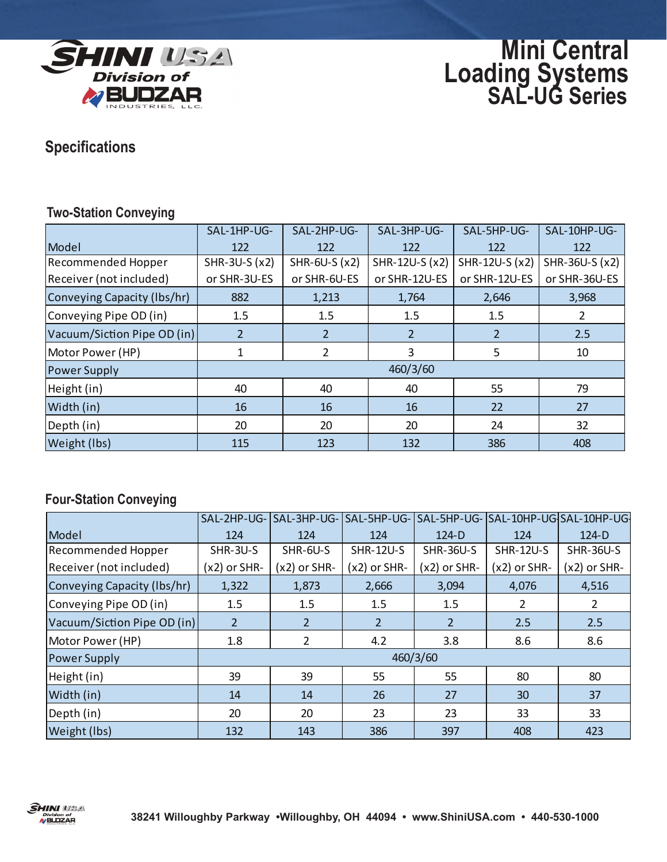

**Mini Central Loading Systems SAL-UG Series**

### **Specifications**

#### **Two-Station Conveying**

|                             | SAL-1HP-UG-    | SAL-2HP-UG-    | SAL-3HP-UG-    | SAL-5HP-UG-    | SAL-10HP-UG-   |  |
|-----------------------------|----------------|----------------|----------------|----------------|----------------|--|
| Model                       | 122            | 122            | 122            | 122            | 122            |  |
| <b>Recommended Hopper</b>   | SHR-3U-S (x2)  | SHR-6U-S (x2)  | SHR-12U-S (x2) | SHR-12U-S (x2) | SHR-36U-S (x2) |  |
| Receiver (not included)     | or SHR-3U-ES   | or SHR-6U-ES   | or SHR-12U-ES  | or SHR-12U-ES  | or SHR-36U-ES  |  |
| Conveying Capacity (Ibs/hr) | 882            | 1,213          | 1,764          | 2,646          | 3,968          |  |
| Conveying Pipe OD (in)      | 1.5            | 1.5            | 1.5            | 1.5            |                |  |
| Vacuum/Siction Pipe OD (in) | $\overline{2}$ | $\overline{2}$ | $\overline{2}$ | $\overline{2}$ | 2.5            |  |
| Motor Power (HP)            |                | $\overline{2}$ | 3              | 5              | 10             |  |
| <b>Power Supply</b>         | 460/3/60       |                |                |                |                |  |
| Height (in)                 | 40             | 40             | 40             | 55             | 79             |  |
| Width (in)                  | 16             | 16             | 16             | 22             | 27             |  |
| Depth (in)                  | 20             | 20             | 20             | 24             | 32             |  |
| Weight (lbs)                | 115            | 123            | 132            | 386            | 408            |  |

#### **Four-Station Conveying**

|                             | SAL-2HP-UG-    | SAL-3HP-UG-    | SAL-5HP-UG-      |                  | SAL-5HP-UG-SSAL-10HP-UG-SAL-10HP-UG- |                  |  |
|-----------------------------|----------------|----------------|------------------|------------------|--------------------------------------|------------------|--|
| Model                       | 124            | 124            | 124              | $124-D$          | 124                                  | $124-D$          |  |
| Recommended Hopper          | SHR-3U-S       | SHR-6U-S       | <b>SHR-12U-S</b> | <b>SHR-36U-S</b> | <b>SHR-12U-S</b>                     | <b>SHR-36U-S</b> |  |
| Receiver (not included)     | (x2) or SHR-   | $(x2)$ or SHR- | (x2) or SHR-     | $(x2)$ or SHR-   | $(x2)$ or SHR-                       | (x2) or SHR-     |  |
| Conveying Capacity (Ibs/hr) | 1,322          | 1,873          | 2,666            | 3,094            | 4,076                                | 4,516            |  |
| Conveying Pipe OD (in)      | 1.5            | 1.5            | 1.5              | 1.5              | 2                                    | $\overline{2}$   |  |
| Vacuum/Siction Pipe OD (in) | 2 <sup>1</sup> | $\overline{2}$ | $\overline{2}$   | $\overline{2}$   | 2.5                                  | 2.5              |  |
| Motor Power (HP)            | 1.8            | 2              | 4.2              | 3.8              | 8.6                                  | 8.6              |  |
| <b>Power Supply</b>         | 460/3/60       |                |                  |                  |                                      |                  |  |
| Height (in)                 | 39             | 39             | 55               | 55               | 80                                   | 80               |  |
| Width (in)                  | 14             | 14             | 26               | 27               | 30                                   | 37               |  |
| Depth (in)                  | 20             | 20             | 23               | 23               | 33                                   | 33               |  |
| Weight (lbs)                | 132            | 143            | 386              | 397              | 408                                  | 423              |  |